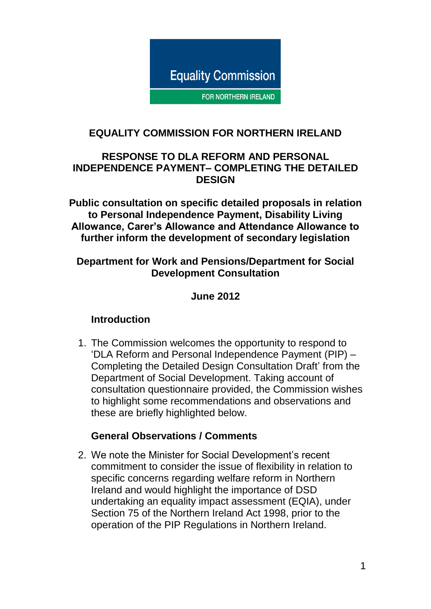

FOR NORTHERN IRELAND

#### **EQUALITY COMMISSION FOR NORTHERN IRELAND**

#### **RESPONSE TO DLA REFORM AND PERSONAL INDEPENDENCE PAYMENT– COMPLETING THE DETAILED DESIGN**

**Public consultation on specific detailed proposals in relation to Personal Independence Payment, Disability Living Allowance, Carer's Allowance and Attendance Allowance to further inform the development of secondary legislation**

#### **Department for Work and Pensions/Department for Social Development Consultation**

**June 2012**

#### **Introduction**

1. The Commission welcomes the opportunity to respond to 'DLA Reform and Personal Independence Payment (PIP) – Completing the Detailed Design Consultation Draft' from the Department of Social Development. Taking account of consultation questionnaire provided, the Commission wishes to highlight some recommendations and observations and these are briefly highlighted below.

#### **General Observations / Comments**

2. We note the Minister for Social Development's recent commitment to consider the issue of flexibility in relation to specific concerns regarding welfare reform in Northern Ireland and would highlight the importance of DSD undertaking an equality impact assessment (EQIA), under Section 75 of the Northern Ireland Act 1998, prior to the operation of the PIP Regulations in Northern Ireland.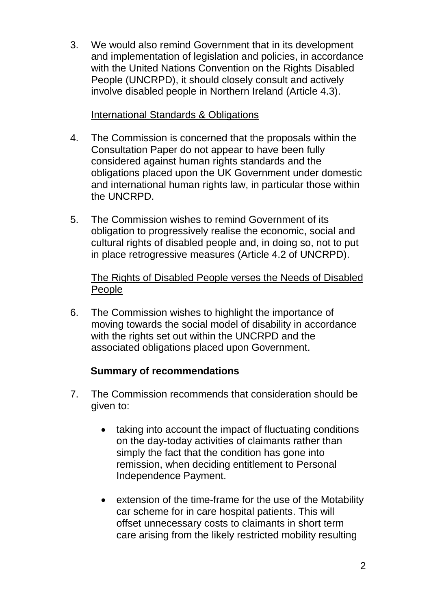3. We would also remind Government that in its development and implementation of legislation and policies, in accordance with the United Nations Convention on the Rights Disabled People (UNCRPD), it should closely consult and actively involve disabled people in Northern Ireland (Article 4.3).

#### International Standards & Obligations

- 4. The Commission is concerned that the proposals within the Consultation Paper do not appear to have been fully considered against human rights standards and the obligations placed upon the UK Government under domestic and international human rights law, in particular those within the UNCRPD.
- 5. The Commission wishes to remind Government of its obligation to progressively realise the economic, social and cultural rights of disabled people and, in doing so, not to put in place retrogressive measures (Article 4.2 of UNCRPD).

### The Rights of Disabled People verses the Needs of Disabled People

6. The Commission wishes to highlight the importance of moving towards the social model of disability in accordance with the rights set out within the UNCRPD and the associated obligations placed upon Government.

### **Summary of recommendations**

- 7. The Commission recommends that consideration should be given to:
	- taking into account the impact of fluctuating conditions on the day-today activities of claimants rather than simply the fact that the condition has gone into remission, when deciding entitlement to Personal Independence Payment.
	- extension of the time-frame for the use of the Motability car scheme for in care hospital patients. This will offset unnecessary costs to claimants in short term care arising from the likely restricted mobility resulting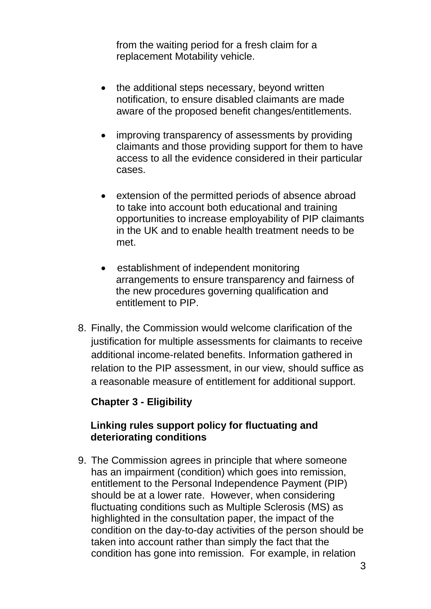from the waiting period for a fresh claim for a replacement Motability vehicle.

- the additional steps necessary, beyond written notification, to ensure disabled claimants are made aware of the proposed benefit changes/entitlements.
- improving transparency of assessments by providing claimants and those providing support for them to have access to all the evidence considered in their particular cases.
- extension of the permitted periods of absence abroad to take into account both educational and training opportunities to increase employability of PIP claimants in the UK and to enable health treatment needs to be met.
- establishment of independent monitoring arrangements to ensure transparency and fairness of the new procedures governing qualification and entitlement to PIP.
- 8. Finally, the Commission would welcome clarification of the justification for multiple assessments for claimants to receive additional income-related benefits. Information gathered in relation to the PIP assessment, in our view, should suffice as a reasonable measure of entitlement for additional support.

### **Chapter 3 - Eligibility**

#### **Linking rules support policy for fluctuating and deteriorating conditions**

9. The Commission agrees in principle that where someone has an impairment (condition) which goes into remission, entitlement to the Personal Independence Payment (PIP) should be at a lower rate. However, when considering fluctuating conditions such as Multiple Sclerosis (MS) as highlighted in the consultation paper, the impact of the condition on the day-to-day activities of the person should be taken into account rather than simply the fact that the condition has gone into remission. For example, in relation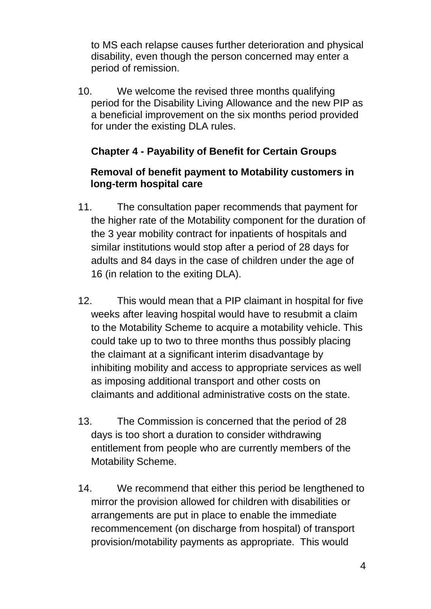to MS each relapse causes further deterioration and physical disability, even though the person concerned may enter a period of remission.

10. We welcome the revised three months qualifying period for the Disability Living Allowance and the new PIP as a beneficial improvement on the six months period provided for under the existing DLA rules.

# **Chapter 4 - Payability of Benefit for Certain Groups**

### **Removal of benefit payment to Motability customers in long-term hospital care**

- 11. The consultation paper recommends that payment for the higher rate of the Motability component for the duration of the 3 year mobility contract for inpatients of hospitals and similar institutions would stop after a period of 28 days for adults and 84 days in the case of children under the age of 16 (in relation to the exiting DLA).
- 12. This would mean that a PIP claimant in hospital for five weeks after leaving hospital would have to resubmit a claim to the Motability Scheme to acquire a motability vehicle. This could take up to two to three months thus possibly placing the claimant at a significant interim disadvantage by inhibiting mobility and access to appropriate services as well as imposing additional transport and other costs on claimants and additional administrative costs on the state.
- 13. The Commission is concerned that the period of 28 days is too short a duration to consider withdrawing entitlement from people who are currently members of the Motability Scheme.
- 14. We recommend that either this period be lengthened to mirror the provision allowed for children with disabilities or arrangements are put in place to enable the immediate recommencement (on discharge from hospital) of transport provision/motability payments as appropriate. This would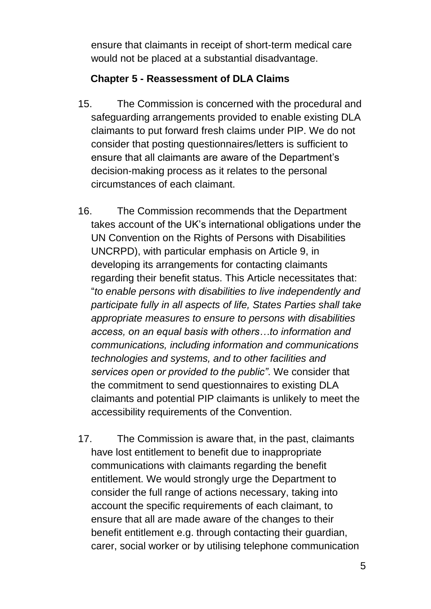ensure that claimants in receipt of short-term medical care would not be placed at a substantial disadvantage.

## **Chapter 5 - Reassessment of DLA Claims**

- 15. The Commission is concerned with the procedural and safeguarding arrangements provided to enable existing DLA claimants to put forward fresh claims under PIP. We do not consider that posting questionnaires/letters is sufficient to ensure that all claimants are aware of the Department's decision-making process as it relates to the personal circumstances of each claimant.
- 16. The Commission recommends that the Department takes account of the UK's international obligations under the UN Convention on the Rights of Persons with Disabilities UNCRPD), with particular emphasis on Article 9, in developing its arrangements for contacting claimants regarding their benefit status. This Article necessitates that: "*to enable persons with disabilities to live independently and participate fully in all aspects of life, States Parties shall take appropriate measures to ensure to persons with disabilities access, on an equal basis with others…to information and communications, including information and communications technologies and systems, and to other facilities and services open or provided to the public"*. We consider that the commitment to send questionnaires to existing DLA claimants and potential PIP claimants is unlikely to meet the accessibility requirements of the Convention.
- 17. The Commission is aware that, in the past, claimants have lost entitlement to benefit due to inappropriate communications with claimants regarding the benefit entitlement. We would strongly urge the Department to consider the full range of actions necessary, taking into account the specific requirements of each claimant, to ensure that all are made aware of the changes to their benefit entitlement e.g. through contacting their guardian, carer, social worker or by utilising telephone communication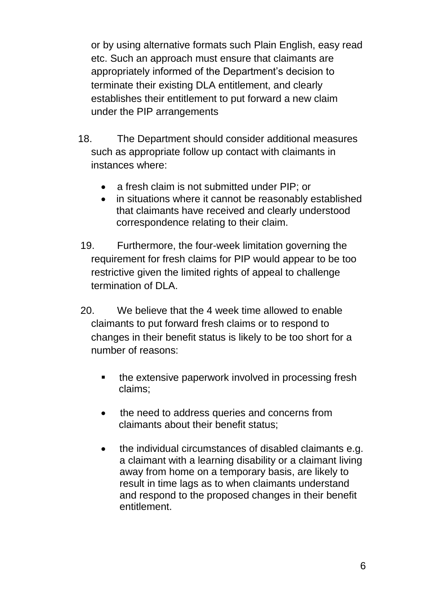or by using alternative formats such Plain English, easy read etc. Such an approach must ensure that claimants are appropriately informed of the Department's decision to terminate their existing DLA entitlement, and clearly establishes their entitlement to put forward a new claim under the PIP arrangements

- 18. The Department should consider additional measures such as appropriate follow up contact with claimants in instances where:
	- a fresh claim is not submitted under PIP; or
	- in situations where it cannot be reasonably established that claimants have received and clearly understood correspondence relating to their claim.
- 19. Furthermore, the four-week limitation governing the requirement for fresh claims for PIP would appear to be too restrictive given the limited rights of appeal to challenge termination of DLA.
- 20. We believe that the 4 week time allowed to enable claimants to put forward fresh claims or to respond to changes in their benefit status is likely to be too short for a number of reasons:
	- the extensive paperwork involved in processing fresh claims;
	- the need to address queries and concerns from claimants about their benefit status;
	- the individual circumstances of disabled claimants e.g. a claimant with a learning disability or a claimant living away from home on a temporary basis, are likely to result in time lags as to when claimants understand and respond to the proposed changes in their benefit entitlement.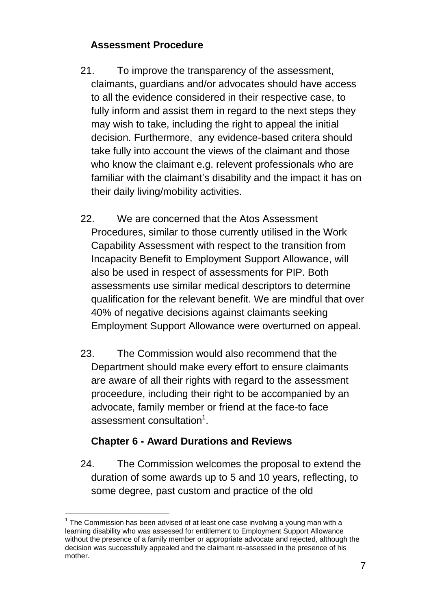# **Assessment Procedure**

- 21. To improve the transparency of the assessment, claimants, guardians and/or advocates should have access to all the evidence considered in their respective case, to fully inform and assist them in regard to the next steps they may wish to take, including the right to appeal the initial decision. Furthermore, any evidence-based critera should take fully into account the views of the claimant and those who know the claimant e.g. relevent professionals who are familiar with the claimant's disability and the impact it has on their daily living/mobility activities.
- 22. We are concerned that the Atos Assessment Procedures, similar to those currently utilised in the Work Capability Assessment with respect to the transition from Incapacity Benefit to Employment Support Allowance, will also be used in respect of assessments for PIP. Both assessments use similar medical descriptors to determine qualification for the relevant benefit. We are mindful that over 40% of negative decisions against claimants seeking Employment Support Allowance were overturned on appeal.
- 23. The Commission would also recommend that the Department should make every effort to ensure claimants are aware of all their rights with regard to the assessment proceedure, including their right to be accompanied by an advocate, family member or friend at the face-to face assessment consultation $^1$ .

# **Chapter 6 - Award Durations and Reviews**

 $\overline{a}$ 

24. The Commission welcomes the proposal to extend the duration of some awards up to 5 and 10 years, reflecting, to some degree, past custom and practice of the old

 $1$  The Commission has been advised of at least one case involving a young man with a learning disability who was assessed for entitlement to Employment Support Allowance without the presence of a family member or appropriate advocate and rejected, although the decision was successfully appealed and the claimant re-assessed in the presence of his mother.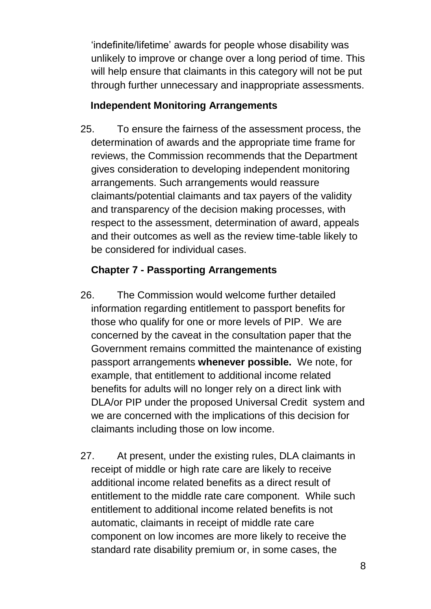'indefinite/lifetime' awards for people whose disability was unlikely to improve or change over a long period of time. This will help ensure that claimants in this category will not be put through further unnecessary and inappropriate assessments.

### **Independent Monitoring Arrangements**

25. To ensure the fairness of the assessment process, the determination of awards and the appropriate time frame for reviews, the Commission recommends that the Department gives consideration to developing independent monitoring arrangements. Such arrangements would reassure claimants/potential claimants and tax payers of the validity and transparency of the decision making processes, with respect to the assessment, determination of award, appeals and their outcomes as well as the review time-table likely to be considered for individual cases.

## **Chapter 7 - Passporting Arrangements**

- 26. The Commission would welcome further detailed information regarding entitlement to passport benefits for those who qualify for one or more levels of PIP. We are concerned by the caveat in the consultation paper that the Government remains committed the maintenance of existing passport arrangements **whenever possible.** We note, for example, that entitlement to additional income related benefits for adults will no longer rely on a direct link with DLA/or PIP under the proposed Universal Credit system and we are concerned with the implications of this decision for claimants including those on low income.
- 27. At present, under the existing rules, DLA claimants in receipt of middle or high rate care are likely to receive additional income related benefits as a direct result of entitlement to the middle rate care component. While such entitlement to additional income related benefits is not automatic, claimants in receipt of middle rate care component on low incomes are more likely to receive the standard rate disability premium or, in some cases, the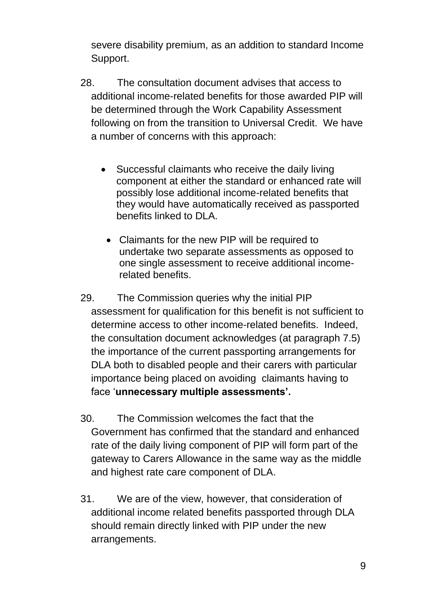severe disability premium, as an addition to standard Income Support.

- 28. The consultation document advises that access to additional income-related benefits for those awarded PIP will be determined through the Work Capability Assessment following on from the transition to Universal Credit. We have a number of concerns with this approach:
	- Successful claimants who receive the daily living component at either the standard or enhanced rate will possibly lose additional income-related benefits that they would have automatically received as passported benefits linked to DLA.
		- Claimants for the new PIP will be required to undertake two separate assessments as opposed to one single assessment to receive additional incomerelated benefits.
- 29. The Commission queries why the initial PIP assessment for qualification for this benefit is not sufficient to determine access to other income-related benefits. Indeed, the consultation document acknowledges (at paragraph 7.5) the importance of the current passporting arrangements for DLA both to disabled people and their carers with particular importance being placed on avoiding claimants having to face '**unnecessary multiple assessments'.**
- 30. The Commission welcomes the fact that the Government has confirmed that the standard and enhanced rate of the daily living component of PIP will form part of the gateway to Carers Allowance in the same way as the middle and highest rate care component of DLA.
- 31. We are of the view, however, that consideration of additional income related benefits passported through DLA should remain directly linked with PIP under the new arrangements.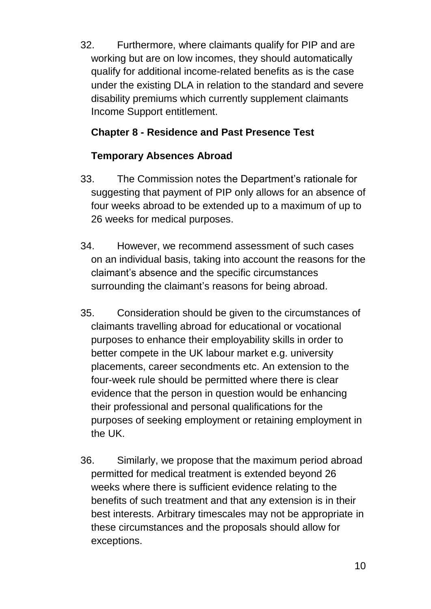32. Furthermore, where claimants qualify for PIP and are working but are on low incomes, they should automatically qualify for additional income-related benefits as is the case under the existing DLA in relation to the standard and severe disability premiums which currently supplement claimants Income Support entitlement.

# **Chapter 8 - Residence and Past Presence Test**

# **Temporary Absences Abroad**

- 33. The Commission notes the Department's rationale for suggesting that payment of PIP only allows for an absence of four weeks abroad to be extended up to a maximum of up to 26 weeks for medical purposes.
- 34. However, we recommend assessment of such cases on an individual basis, taking into account the reasons for the claimant's absence and the specific circumstances surrounding the claimant's reasons for being abroad.
- 35. Consideration should be given to the circumstances of claimants travelling abroad for educational or vocational purposes to enhance their employability skills in order to better compete in the UK labour market e.g. university placements, career secondments etc. An extension to the four-week rule should be permitted where there is clear evidence that the person in question would be enhancing their professional and personal qualifications for the purposes of seeking employment or retaining employment in the UK.
- 36. Similarly, we propose that the maximum period abroad permitted for medical treatment is extended beyond 26 weeks where there is sufficient evidence relating to the benefits of such treatment and that any extension is in their best interests. Arbitrary timescales may not be appropriate in these circumstances and the proposals should allow for exceptions.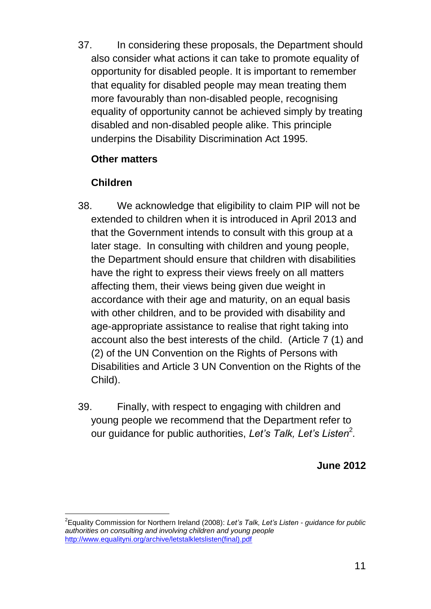37. In considering these proposals, the Department should also consider what actions it can take to promote equality of opportunity for disabled people. It is important to remember that equality for disabled people may mean treating them more favourably than non-disabled people, recognising equality of opportunity cannot be achieved simply by treating disabled and non-disabled people alike. This principle underpins the Disability Discrimination Act 1995.

## **Other matters**

# **Children**

- 38. We acknowledge that eligibility to claim PIP will not be extended to children when it is introduced in April 2013 and that the Government intends to consult with this group at a later stage. In consulting with children and young people, the Department should ensure that children with disabilities have the right to express their views freely on all matters affecting them, their views being given due weight in accordance with their age and maturity, on an equal basis with other children, and to be provided with disability and age-appropriate assistance to realise that right taking into account also the best interests of the child. (Article 7 (1) and (2) of the UN Convention on the Rights of Persons with Disabilities and Article 3 UN Convention on the Rights of the Child).
- 39. Finally, with respect to engaging with children and young people we recommend that the Department refer to our guidance for public authorities, Let's Talk, Let's Listen<sup>2</sup>.

**June 2012**

 $\overline{\phantom{a}}$ 2 Equality Commission for Northern Ireland (2008): *Let's Talk, Let's Listen - guidance for public authorities on consulting and involving children and young people* [http://www.equalityni.org/archive/letstalkletslisten\(final\).pdf](http://www.equalityni.org/archive/letstalkletslisten(final).pdf)